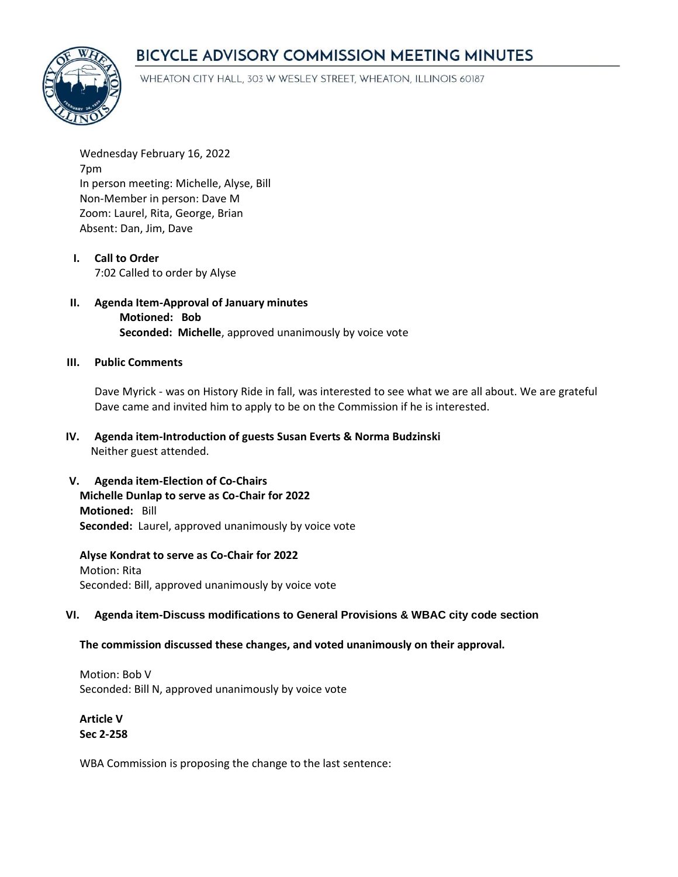# BICYCLE ADVISORY COMMISSION MEETING MINUTES



WHEATON CITY HALL, 303 W WESLEY STREET, WHEATON, ILLINOIS 60187

Wednesday February 16, 2022 7pm In person meeting: Michelle, Alyse, Bill Non-Member in person: Dave M Zoom: Laurel, Rita, George, Brian Absent: Dan, Jim, Dave

- **I. Call to Order**  7:02 Called to order by Alyse
- **II. Agenda Item-Approval of January minutes Motioned: Bob Seconded: Michelle**, approved unanimously by voice vote

#### **III. Public Comments**

Dave Myrick - was on History Ride in fall, was interested to see what we are all about. We are grateful Dave came and invited him to apply to be on the Commission if he is interested.

- **IV. Agenda item-Introduction of guests Susan Everts & Norma Budzinski** Neither guest attended.
- **V. Agenda item-Election of Co-Chairs Michelle Dunlap to serve as Co-Chair for 2022 Motioned:** Bill **Seconded:** Laurel, approved unanimously by voice vote

**Alyse Kondrat to serve as Co-Chair for 2022** Motion: Rita Seconded: Bill, approved unanimously by voice vote

# **VI. Agenda item-Discuss modifications to General Provisions & WBAC city code section**

## **The commission discussed these changes, and voted unanimously on their approval.**

Motion: Bob V Seconded: Bill N, approved unanimously by voice vote

**Article V Sec 2-258**

WBA Commission is proposing the change to the last sentence: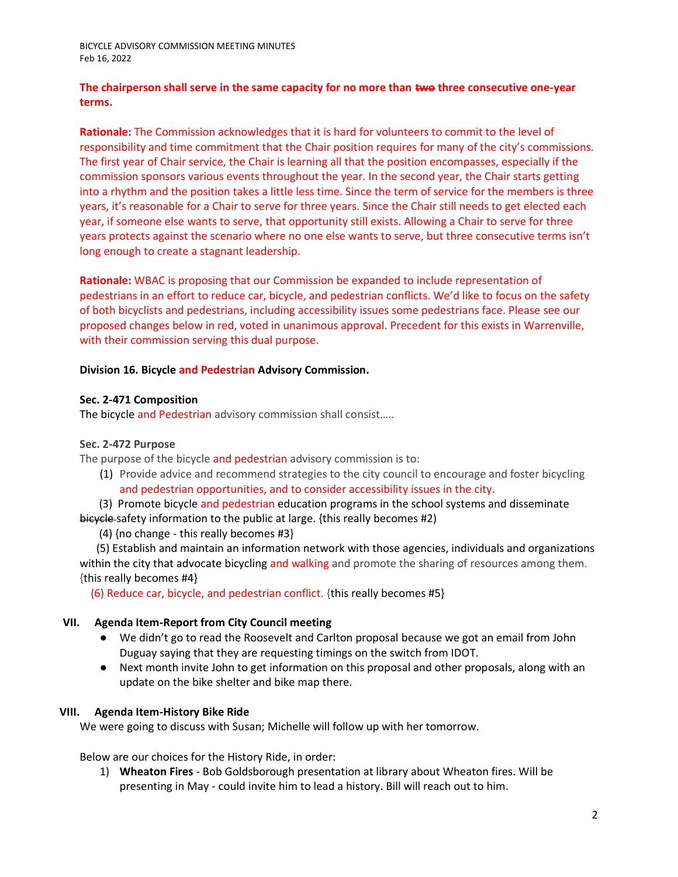## **The chairperson shall serve in the same capacity for no more than two three consecutive one-year terms.**

**Rationale:** The Commission acknowledges that it is hard for volunteers to commit to the level of responsibility and time commitment that the Chair position requires for many of the city's commissions. The first year of Chair service, the Chair is learning all that the position encompasses, especially if the commission sponsors various events throughout the year. In the second year, the Chair starts getting into a rhythm and the position takes a little less time. Since the term of service for the members is three years, it's reasonable for a Chair to serve for three years. Since the Chair still needs to get elected each year, if someone else wants to serve, that opportunity still exists. Allowing a Chair to serve for three years protects against the scenario where no one else wants to serve, but three consecutive terms isn't long enough to create a stagnant leadership.

**Rationale:** WBAC is proposing that our Commission be expanded to include representation of pedestrians in an effort to reduce car, bicycle, and pedestrian conflicts. We'd like to focus on the safety of both bicyclists and pedestrians, including accessibility issues some pedestrians face. Please see our proposed changes below in red, voted in unanimous approval. Precedent for this exists in Warrenville, with their commission serving this dual purpose.

## **Division 16. Bicycle and Pedestrian Advisory Commission.**

## **Sec. 2-471 Composition**

The bicycle and Pedestrian advisory commission shall consist.....

#### **Sec. 2-472 Purpose**

The purpose of the bicycle and pedestrian advisory commission is to:

(1) Provide advice and recommend strategies to the city council to encourage and foster bicycling and pedestrian opportunities, and to consider accessibility issues in the city.

 (3) Promote bicycle and pedestrian education programs in the school systems and disseminate bicycle safety information to the public at large. {this really becomes #2)

(4) {no change - this really becomes #3}

 (5) Establish and maintain an information network with those agencies, individuals and organizations within the city that advocate bicycling and walking and promote the sharing of resources among them. {this really becomes #4}

(6) Reduce car, bicycle, and pedestrian conflict. {this really becomes #5}

## **VII. Agenda Item-Report from City Council meeting**

- We didn't go to read the Roosevelt and Carlton proposal because we got an email from John Duguay saying that they are requesting timings on the switch from IDOT.
- Next month invite John to get information on this proposal and other proposals, along with an update on the bike shelter and bike map there.

## **VIII. Agenda Item-History Bike Ride**

We were going to discuss with Susan; Michelle will follow up with her tomorrow.

Below are our choices for the History Ride, in order:

1) **Wheaton Fires** - Bob Goldsborough presentation at library about Wheaton fires. Will be presenting in May - could invite him to lead a history. Bill will reach out to him.